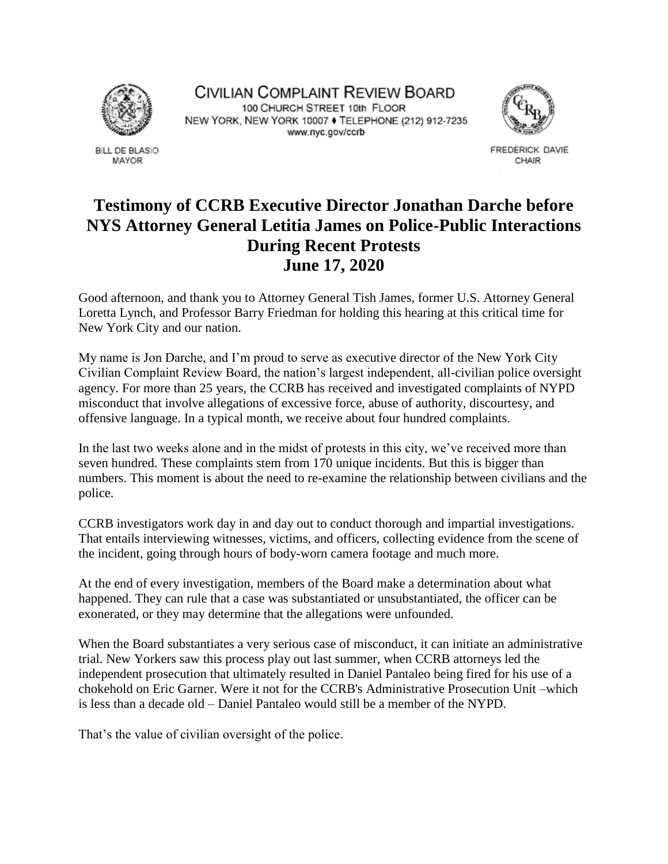

**BILL DE BLASIO** MAYOR

CIVILIAN COMPLAINT REVIEW BOARD 100 CHURCH STREET 10th FLOOR NEW YORK, NEW YORK 10007 ♦ TELEPHONE (212) 912-7235 www.nyc.gov/ccrb



FREDERICK DAVIE CHAIR

## **Testimony of CCRB Executive Director Jonathan Darche before NYS Attorney General Letitia James on Police-Public Interactions During Recent Protests June 17, 2020**

Good afternoon, and thank you to Attorney General Tish James, former U.S. Attorney General Loretta Lynch, and Professor Barry Friedman for holding this hearing at this critical time for New York City and our nation.

My name is Jon Darche, and I'm proud to serve as executive director of the New York City Civilian Complaint Review Board, the nation's largest independent, all-civilian police oversight agency. For more than 25 years, the CCRB has received and investigated complaints of NYPD misconduct that involve allegations of excessive force, abuse of authority, discourtesy, and offensive language. In a typical month, we receive about four hundred complaints.

In the last two weeks alone and in the midst of protests in this city, we've received more than seven hundred. These complaints stem from 170 unique incidents. But this is bigger than numbers. This moment is about the need to re-examine the relationship between civilians and the police.

CCRB investigators work day in and day out to conduct thorough and impartial investigations. That entails interviewing witnesses, victims, and officers, collecting evidence from the scene of the incident, going through hours of body-worn camera footage and much more.

At the end of every investigation, members of the Board make a determination about what happened. They can rule that a case was substantiated or unsubstantiated, the officer can be exonerated, or they may determine that the allegations were unfounded.

When the Board substantiates a very serious case of misconduct, it can initiate an administrative trial. New Yorkers saw this process play out last summer, when CCRB attorneys led the independent prosecution that ultimately resulted in Daniel Pantaleo being fired for his use of a chokehold on Eric Garner. Were it not for the CCRB's Administrative Prosecution Unit –which is less than a decade old – Daniel Pantaleo would still be a member of the NYPD.

That's the value of civilian oversight of the police.